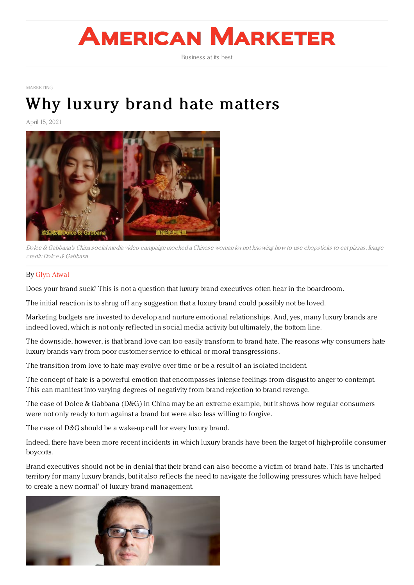# **AMERICAN MARKETER**

Business at its best

[MARKETING](https://www.americanmarketer.com/category/sectors/marketing-industry-sectors/)

## Why luxury brand hate [matters](https://www.americanmarketer.com/2021/04/15/why-luxury-brand-hate-matters/)

April 15, 2021



Dolce & Gabbana's China social media video campaign mocked <sup>a</sup> Chinese woman for not knowing how to use chopsticks to eat pizzas. Image credit: Dolce & Gabbana

### By Glyn [Atwal](https://www.palgrave.com/gp/book/9781137547132)

Does your brand suck? This is not a question that luxury brand executives often hear in the boardroom.

The initial reaction is to shrug off any suggestion that a luxury brand could possibly not be loved.

Marketing budgets are invested to develop and nurture emotional relationships. And, yes, many luxury brands are indeed loved, which is not only reflected in social media activity but ultimately, the bottom line.

The downside, however, is that brand love can too easily transform to brand hate. The reasons why consumers hate luxury brands vary from poor customer service to ethical or moral transgressions.

The transition from love to hate may evolve over time or be a result of an isolated incident.

The concept of hate is a powerful emotion that encompasses intense feelings from disgust to anger to contempt. This can manifest into varying degrees of negativity from brand rejection to brand revenge.

The case of Dolce & Gabbana (D&G) in China may be an extreme example, but it shows how regular consumers were not only ready to turn against a brand but were also less willing to forgive.

The case of D&G should be a wake-up call for every luxury brand.

Indeed, there have been more recent incidents in which luxury brands have been the target of high-profile consumer boycotts.

Brand executives should not be in denial that their brand can also become a victim of brand hate. This is uncharted territory for many luxury brands, but it also reflects the need to navigate the following pressures which have helped to create a new normal' of luxury brand management.

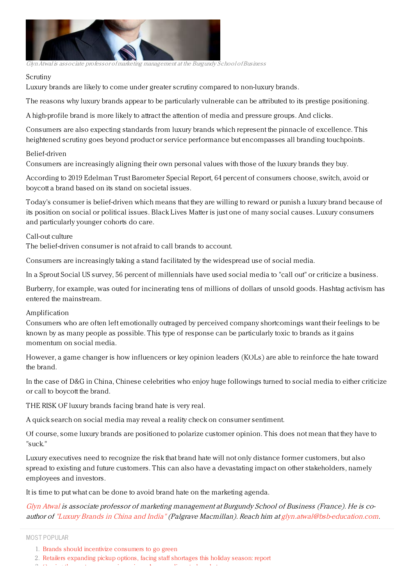

GlynAtwal is associate professor of marketing management at the Burgundy School ofBusiness

#### Scrutiny

Luxury brands are likely to come under greater scrutiny compared to non-luxury brands.

The reasons why luxury brands appear to be particularly vulnerable can be attributed to its prestige positioning.

A high-profile brand is more likely to attract the attention of media and pressure groups. And clicks.

Consumers are also expecting standards from luxury brands which represent the pinnacle of excellence. This heightened scrutiny goes beyond product or service performance but encompasses all branding touchpoints.

#### Belief-driven

Consumers are increasingly aligning their own personal values with those of the luxury brands they buy.

According to 2019 Edelman Trust Barometer Special Report, 64 percent of consumers choose, switch, avoid or boycott a brand based on its stand on societal issues.

Today's consumer is belief-driven which means that they are willing to reward or punish a luxury brand because of its position on social or political issues. Black Lives Matter is just one of many social causes. Luxury consumers and particularly younger cohorts do care.

#### Call-out culture

The belief-driven consumer is not afraid to call brands to account.

Consumers are increasingly taking a stand facilitated by the widespread use of social media.

In a Sprout Social US survey, 56 percent of millennials have used social media to "call out" or criticize a business.

Burberry, for example, was outed for incinerating tens of millions of dollars of unsold goods. Hashtag activism has entered the mainstream.

#### Amplification

Consumers who are often left emotionally outraged by perceived company shortcomings want their feelings to be known by as many people as possible. This type of response can be particularly toxic to brands as it gains momentum on social media.

However, a game changer is how influencers or key opinion leaders (KOLs) are able to reinforce the hate toward the brand.

In the case of D&G in China, Chinese celebrities who enjoy huge followings turned to social media to either criticize or call to boycott the brand.

THE RISK OF luxury brands facing brand hate is very real.

A quick search on social media may reveal a reality check on consumer sentiment.

Of course, some luxury brands are positioned to polarize customer opinion. This does not mean that they have to "suck."

Luxury executives need to recognize the risk that brand hate will not only distance former customers, but also spread to existing and future customers. This can also have a devastating impact on other stakeholders, namely employees and investors.

It is time to put what can be done to avoid brand hate on the marketing agenda.

[Glyn](https://www.bsb-education.com/professeurs-recherche/annuaire-des-professeurs/?lang=en&nom=ATWAL&prenom=Glyn) Atwal is associate professor of marketing management at Burgundy School of Business (France). He is coauthor of ["Luxury](https://www.palgrave.com/gp/book/9781137547132) Brands in China and India" (Palgrave Macmillan). Reach him at [glyn.atwal@bsb-education.com](mailto:glyn.atwal@bsb-education.com).

MOST POPULAR

<sup>1.</sup> Brands should incentivize [consumers](https://www.americanmarketer.com/brands-should-incentivize-consumers-to-go-green) to go green

<sup>2.</sup> Retailers [expanding](https://www.americanmarketer.com/ukg-releases-report-on-shopping-trends-for-the-upcoming-holiday-season) pickup options, facing staff shortages this holiday season: report

<sup>3.</sup> Owning the customer experience in an Amazon-disrupted market